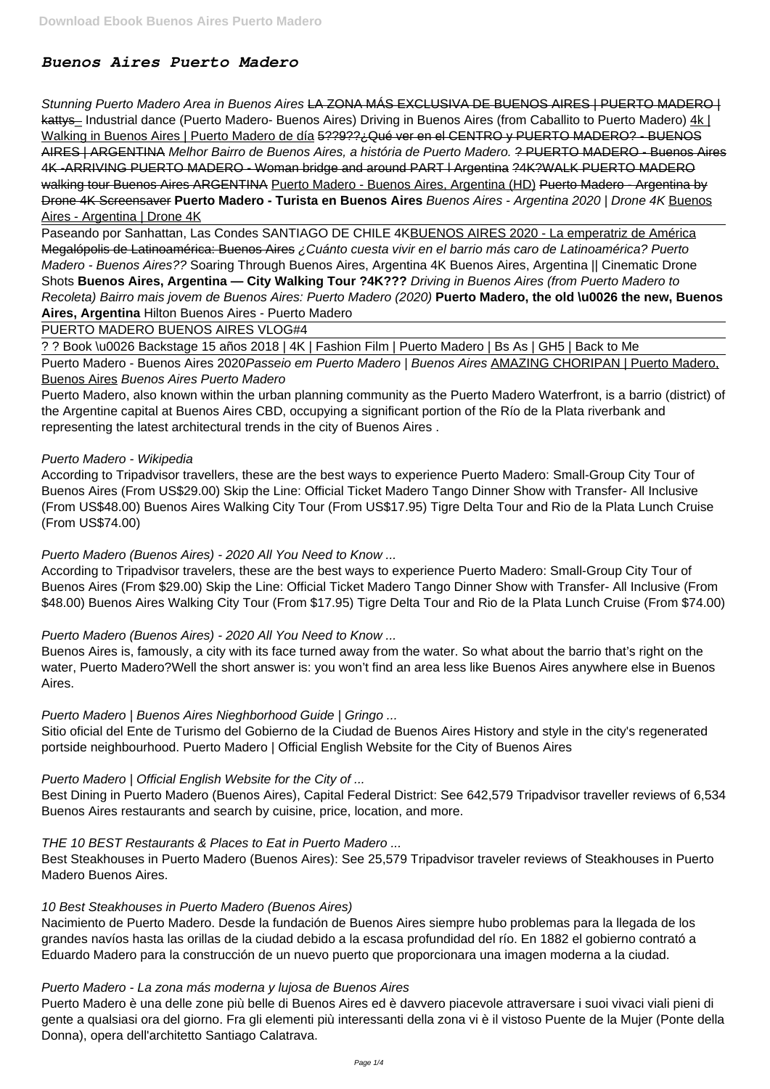# *Buenos Aires Puerto Madero*

Stunning Puerto Madero Area in Buenos Aires LA ZONA MÁS EXCLUSIVA DE BUENOS AIRES | PUERTO MADERO | kattys-Industrial dance (Puerto Madero- Buenos Aires) Driving in Buenos Aires (from Caballito to Puerto Madero) 4k | Walking in Buenos Aires | Puerto Madero de día 5??9??; Qué ver en el CENTRO y PUERTO MADERO? - BUENOS AIRES | ARGENTINA Melhor Bairro de Buenos Aires, a história de Puerto Madero. ? PUERTO MADERO - Buenos Aires 4K -ARRIVING PUERTO MADERO - Woman bridge and around PART l Argentina ?4K?WALK PUERTO MADERO walking tour Buenos Aires ARGENTINA Puerto Madero - Buenos Aires, Argentina (HD) Puerto Madero - Argentina by Drone 4K Screensaver **Puerto Madero - Turista en Buenos Aires** Buenos Aires - Argentina 2020 | Drone 4K Buenos Aires - Argentina | Drone 4K

Paseando por Sanhattan, Las Condes SANTIAGO DE CHILE 4KBUENOS AIRES 2020 - La emperatriz de América Megalópolis de Latinoamérica: Buenos Aires ¿Cuánto cuesta vivir en el barrio más caro de Latinoamérica? Puerto Madero - Buenos Aires?? Soaring Through Buenos Aires, Argentina 4K Buenos Aires, Argentina || Cinematic Drone Shots **Buenos Aires, Argentina — City Walking Tour ?4K???** Driving in Buenos Aires (from Puerto Madero to Recoleta) Bairro mais jovem de Buenos Aires: Puerto Madero (2020) **Puerto Madero, the old \u0026 the new, Buenos Aires, Argentina** Hilton Buenos Aires - Puerto Madero

Puerto Madero - Buenos Aires 2020 Passeio em Puerto Madero | Buenos Aires AMAZING CHORIPAN | Puerto Madero, Buenos Aires Buenos Aires Puerto Madero

PUERTO MADERO BUENOS AIRES VLOG#4

? ? Book \u0026 Backstage 15 años 2018 | 4K | Fashion Film | Puerto Madero | Bs As | GH5 | Back to Me

Puerto Madero, also known within the urban planning community as the Puerto Madero Waterfront, is a barrio (district) of the Argentine capital at Buenos Aires CBD, occupying a significant portion of the Río de la Plata riverbank and representing the latest architectural trends in the city of Buenos Aires .

# Puerto Madero - Wikipedia

According to Tripadvisor travellers, these are the best ways to experience Puerto Madero: Small-Group City Tour of Buenos Aires (From US\$29.00) Skip the Line: Official Ticket Madero Tango Dinner Show with Transfer- All Inclusive (From US\$48.00) Buenos Aires Walking City Tour (From US\$17.95) Tigre Delta Tour and Rio de la Plata Lunch Cruise (From US\$74.00)

# Puerto Madero (Buenos Aires) - 2020 All You Need to Know ...

According to Tripadvisor travelers, these are the best ways to experience Puerto Madero: Small-Group City Tour of Buenos Aires (From \$29.00) Skip the Line: Official Ticket Madero Tango Dinner Show with Transfer- All Inclusive (From \$48.00) Buenos Aires Walking City Tour (From \$17.95) Tigre Delta Tour and Rio de la Plata Lunch Cruise (From \$74.00)

# Puerto Madero (Buenos Aires) - 2020 All You Need to Know ...

Buenos Aires is, famously, a city with its face turned away from the water. So what about the barrio that's right on the water, Puerto Madero?Well the short answer is: you won't find an area less like Buenos Aires anywhere else in Buenos Aires.

# Puerto Madero | Buenos Aires Nieghborhood Guide | Gringo ...

Sitio oficial del Ente de Turismo del Gobierno de la Ciudad de Buenos Aires History and style in the city's regenerated portside neighbourhood. Puerto Madero | Official English Website for the City of Buenos Aires

# Puerto Madero | Official English Website for the City of ...

Best Dining in Puerto Madero (Buenos Aires), Capital Federal District: See 642,579 Tripadvisor traveller reviews of 6,534 Buenos Aires restaurants and search by cuisine, price, location, and more.

THE 10 BEST Restaurants & Places to Eat in Puerto Madero ...

Best Steakhouses in Puerto Madero (Buenos Aires): See 25,579 Tripadvisor traveler reviews of Steakhouses in Puerto Madero Buenos Aires.

#### 10 Best Steakhouses in Puerto Madero (Buenos Aires)

Nacimiento de Puerto Madero. Desde la fundación de Buenos Aires siempre hubo problemas para la llegada de los grandes navíos hasta las orillas de la ciudad debido a la escasa profundidad del río. En 1882 el gobierno contrató a Eduardo Madero para la construcción de un nuevo puerto que proporcionara una imagen moderna a la ciudad.

# Puerto Madero - La zona más moderna y lujosa de Buenos Aires

Puerto Madero è una delle zone più belle di Buenos Aires ed è davvero piacevole attraversare i suoi vivaci viali pieni di gente a qualsiasi ora del giorno. Fra gli elementi più interessanti della zona vi è il vistoso Puente de la Mujer (Ponte della Donna), opera dell'architetto Santiago Calatrava.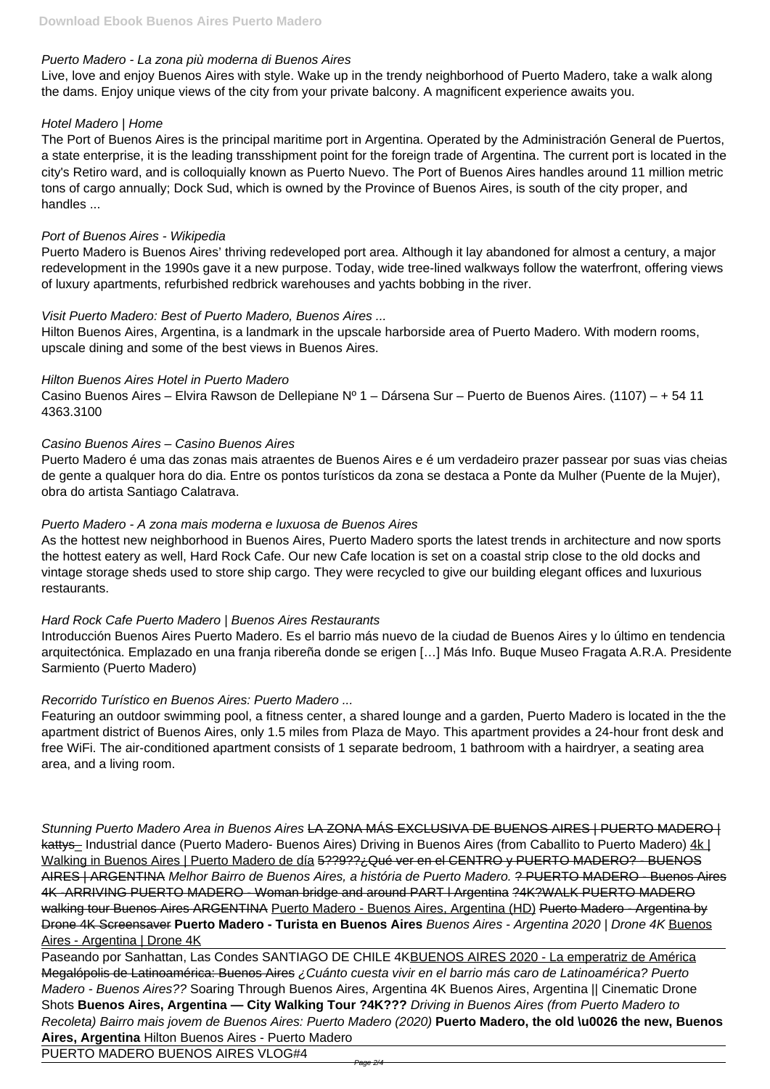# Puerto Madero - La zona più moderna di Buenos Aires

Live, love and enjoy Buenos Aires with style. Wake up in the trendy neighborhood of Puerto Madero, take a walk along the dams. Enjoy unique views of the city from your private balcony. A magnificent experience awaits you.

# Hotel Madero | Home

The Port of Buenos Aires is the principal maritime port in Argentina. Operated by the Administración General de Puertos, a state enterprise, it is the leading transshipment point for the foreign trade of Argentina. The current port is located in the city's Retiro ward, and is colloquially known as Puerto Nuevo. The Port of Buenos Aires handles around 11 million metric tons of cargo annually; Dock Sud, which is owned by the Province of Buenos Aires, is south of the city proper, and handles ...

# Port of Buenos Aires - Wikipedia

Puerto Madero is Buenos Aires' thriving redeveloped port area. Although it lay abandoned for almost a century, a major redevelopment in the 1990s gave it a new purpose. Today, wide tree-lined walkways follow the waterfront, offering views of luxury apartments, refurbished redbrick warehouses and yachts bobbing in the river.

# Visit Puerto Madero: Best of Puerto Madero, Buenos Aires ...

Hilton Buenos Aires, Argentina, is a landmark in the upscale harborside area of Puerto Madero. With modern rooms, upscale dining and some of the best views in Buenos Aires.

# Hilton Buenos Aires Hotel in Puerto Madero

Casino Buenos Aires – Elvira Rawson de Dellepiane Nº 1 – Dársena Sur – Puerto de Buenos Aires. (1107) – + 54 11 4363.3100

# Casino Buenos Aires – Casino Buenos Aires

Puerto Madero é uma das zonas mais atraentes de Buenos Aires e é um verdadeiro prazer passear por suas vias cheias de gente a qualquer hora do dia. Entre os pontos turísticos da zona se destaca a Ponte da Mulher (Puente de la Mujer), obra do artista Santiago Calatrava.

Stunning Puerto Madero Area in Buenos Aires LA ZONA MÁS EXCLUSIVA DE BUENOS AIRES | PUERTO MADERO | kattys Industrial dance (Puerto Madero- Buenos Aires) Driving in Buenos Aires (from Caballito to Puerto Madero) 4k | Walking in Buenos Aires | Puerto Madero de día 5??9??¿Qué ver en el CENTRO y PUERTO MADERO? - BUENOS AIRES | ARGENTINA Melhor Bairro de Buenos Aires, a história de Puerto Madero. ? PUERTO MADERO - Buenos Aires 4K -ARRIVING PUERTO MADERO - Woman bridge and around PART l Argentina ?4K?WALK PUERTO MADERO walking tour Buenos Aires ARGENTINA Puerto Madero - Buenos Aires, Argentina (HD) Puerto Madero - Argentina by Drone 4K Screensaver **Puerto Madero - Turista en Buenos Aires** Buenos Aires - Argentina 2020 | Drone 4K Buenos Aires - Argentina | Drone 4K

# Puerto Madero - A zona mais moderna e luxuosa de Buenos Aires

As the hottest new neighborhood in Buenos Aires, Puerto Madero sports the latest trends in architecture and now sports the hottest eatery as well, Hard Rock Cafe. Our new Cafe location is set on a coastal strip close to the old docks and vintage storage sheds used to store ship cargo. They were recycled to give our building elegant offices and luxurious restaurants.

Paseando por Sanhattan, Las Condes SANTIAGO DE CHILE 4KBUENOS AIRES 2020 - La emperatriz de América Megalópolis de Latinoamérica: Buenos Aires ¿Cuánto cuesta vivir en el barrio más caro de Latinoamérica? Puerto Madero - Buenos Aires?? Soaring Through Buenos Aires, Argentina 4K Buenos Aires, Argentina || Cinematic Drone Shots **Buenos Aires, Argentina — City Walking Tour ?4K???** Driving in Buenos Aires (from Puerto Madero to Recoleta) Bairro mais jovem de Buenos Aires: Puerto Madero (2020) **Puerto Madero, the old \u0026 the new, Buenos Aires, Argentina** Hilton Buenos Aires - Puerto Madero

# Hard Rock Cafe Puerto Madero | Buenos Aires Restaurants

Introducción Buenos Aires Puerto Madero. Es el barrio más nuevo de la ciudad de Buenos Aires y lo último en tendencia arquitectónica. Emplazado en una franja ribereña donde se erigen […] Más Info. Buque Museo Fragata A.R.A. Presidente Sarmiento (Puerto Madero)

# Recorrido Turístico en Buenos Aires: Puerto Madero ...

Featuring an outdoor swimming pool, a fitness center, a shared lounge and a garden, Puerto Madero is located in the the apartment district of Buenos Aires, only 1.5 miles from Plaza de Mayo. This apartment provides a 24-hour front desk and free WiFi. The air-conditioned apartment consists of 1 separate bedroom, 1 bathroom with a hairdryer, a seating area area, and a living room.

PUERTO MADERO BUENOS AIRES VLOG#4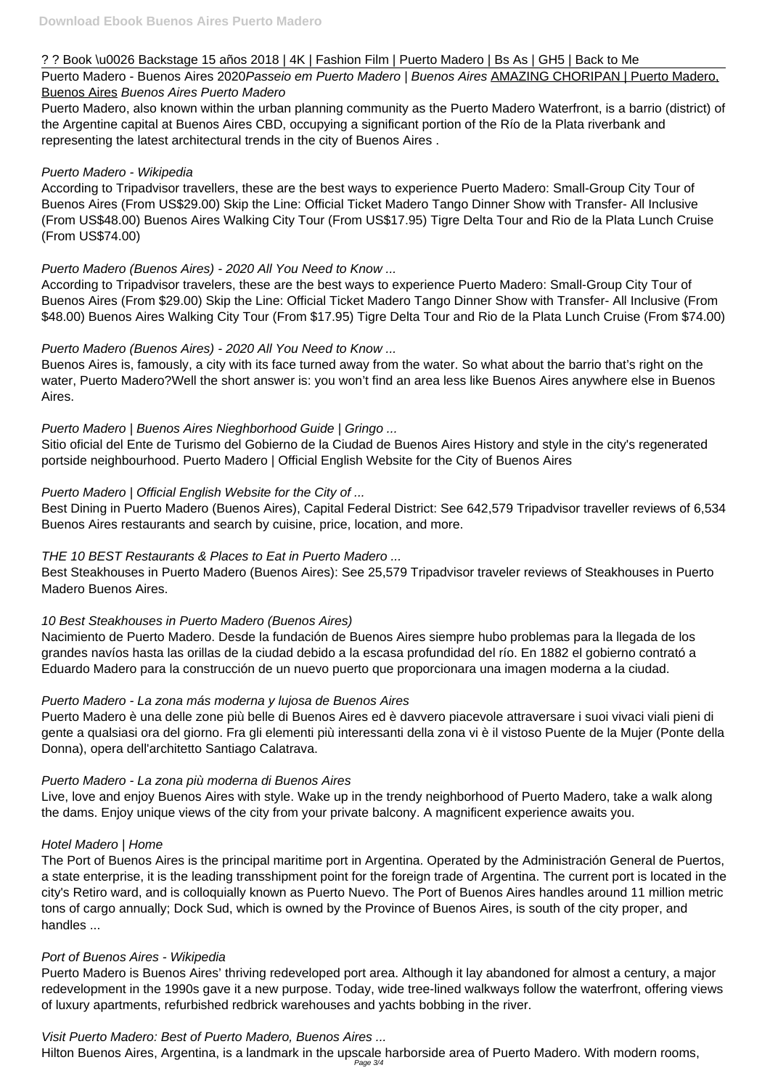# ? ? Book \u0026 Backstage 15 años 2018 | 4K | Fashion Film | Puerto Madero | Bs As | GH5 | Back to Me

Puerto Madero - Buenos Aires 2020 Passeio em Puerto Madero | Buenos Aires AMAZING CHORIPAN | Puerto Madero, Buenos Aires Buenos Aires Puerto Madero

Puerto Madero, also known within the urban planning community as the Puerto Madero Waterfront, is a barrio (district) of the Argentine capital at Buenos Aires CBD, occupying a significant portion of the Río de la Plata riverbank and representing the latest architectural trends in the city of Buenos Aires .

# Puerto Madero - Wikipedia

According to Tripadvisor travellers, these are the best ways to experience Puerto Madero: Small-Group City Tour of Buenos Aires (From US\$29.00) Skip the Line: Official Ticket Madero Tango Dinner Show with Transfer- All Inclusive (From US\$48.00) Buenos Aires Walking City Tour (From US\$17.95) Tigre Delta Tour and Rio de la Plata Lunch Cruise (From US\$74.00)

# Puerto Madero (Buenos Aires) - 2020 All You Need to Know ...

According to Tripadvisor travelers, these are the best ways to experience Puerto Madero: Small-Group City Tour of Buenos Aires (From \$29.00) Skip the Line: Official Ticket Madero Tango Dinner Show with Transfer- All Inclusive (From \$48.00) Buenos Aires Walking City Tour (From \$17.95) Tigre Delta Tour and Rio de la Plata Lunch Cruise (From \$74.00)

# Puerto Madero (Buenos Aires) - 2020 All You Need to Know ...

Buenos Aires is, famously, a city with its face turned away from the water. So what about the barrio that's right on the water, Puerto Madero?Well the short answer is: you won't find an area less like Buenos Aires anywhere else in Buenos Aires.

# Puerto Madero | Buenos Aires Nieghborhood Guide | Gringo ...

Sitio oficial del Ente de Turismo del Gobierno de la Ciudad de Buenos Aires History and style in the city's regenerated portside neighbourhood. Puerto Madero | Official English Website for the City of Buenos Aires

# Puerto Madero | Official English Website for the City of ...

Best Dining in Puerto Madero (Buenos Aires), Capital Federal District: See 642,579 Tripadvisor traveller reviews of 6,534 Buenos Aires restaurants and search by cuisine, price, location, and more.

# THE 10 BEST Restaurants & Places to Eat in Puerto Madero ...

Best Steakhouses in Puerto Madero (Buenos Aires): See 25,579 Tripadvisor traveler reviews of Steakhouses in Puerto Madero Buenos Aires.

# 10 Best Steakhouses in Puerto Madero (Buenos Aires)

Nacimiento de Puerto Madero. Desde la fundación de Buenos Aires siempre hubo problemas para la llegada de los grandes navíos hasta las orillas de la ciudad debido a la escasa profundidad del río. En 1882 el gobierno contrató a Eduardo Madero para la construcción de un nuevo puerto que proporcionara una imagen moderna a la ciudad.

# Puerto Madero - La zona más moderna y lujosa de Buenos Aires

Puerto Madero è una delle zone più belle di Buenos Aires ed è davvero piacevole attraversare i suoi vivaci viali pieni di gente a qualsiasi ora del giorno. Fra gli elementi più interessanti della zona vi è il vistoso Puente de la Mujer (Ponte della Donna), opera dell'architetto Santiago Calatrava.

# Puerto Madero - La zona più moderna di Buenos Aires

Live, love and enjoy Buenos Aires with style. Wake up in the trendy neighborhood of Puerto Madero, take a walk along the dams. Enjoy unique views of the city from your private balcony. A magnificent experience awaits you.

Hotel Madero | Home

The Port of Buenos Aires is the principal maritime port in Argentina. Operated by the Administración General de Puertos, a state enterprise, it is the leading transshipment point for the foreign trade of Argentina. The current port is located in the city's Retiro ward, and is colloquially known as Puerto Nuevo. The Port of Buenos Aires handles around 11 million metric tons of cargo annually; Dock Sud, which is owned by the Province of Buenos Aires, is south of the city proper, and handles ...

#### Port of Buenos Aires - Wikipedia

Puerto Madero is Buenos Aires' thriving redeveloped port area. Although it lay abandoned for almost a century, a major redevelopment in the 1990s gave it a new purpose. Today, wide tree-lined walkways follow the waterfront, offering views of luxury apartments, refurbished redbrick warehouses and yachts bobbing in the river.

Visit Puerto Madero: Best of Puerto Madero, Buenos Aires ...

Hilton Buenos Aires, Argentina, is a landmark in the upscale harborside area of Puerto Madero. With modern rooms, Page 3/4